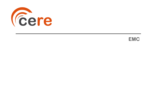

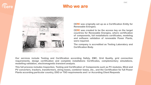

### **Who we are**



**CERE was originally set up as a Certification Entity for Renewable Energies.**

**CERE was created to be the access key on the target countries for Renewable Energies, where certification of components, full installations certificates, modeling and software validation of renewable Power Plants, were required.**

**The company is accredited as Testing Laboratory and Certification Body.**

**Our services include Testing and Certification according Safety, EMC, Grid Quality, grid connection requirements, design certification and complete installations Certificates, complementary simulations, modelling validation, electromagnetic transient analysis.**

**This full process includes Inspection, Testing and Certification of Components such as PV modules, Wind and PV converters, trackers, transformers, string boxes, combiner boxes, etc., and the Certification for full Power Plants according particular country, DSO or TSO requirements and / or According Client Requests**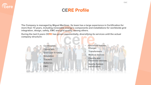

# **CERE Profile**

**The Company is managed by Miguel Martínez. Its team has a large experience in Certification for more than 10 years, including renewable energy's components and installations for worldwide grid integration, design, safety, EMC and grid quality, among others.**

**During the last 6 years CERE has grown exponentially, diversifying its services until the actual company structure:**

- **Certification** • **Converters**
- **Grid Code & safety**
- **Simulation**
- **Trackers**
- **Batteries**
- **EMC**
- **Electrical Vehicle Charger**
- **Transformers**
- **Medical devices**
- **Electric and Electronic devices**
- **Quality System certification**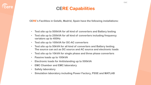# **CERE Capabilities**

**CERE's Facilities in Getafe, Madrid, Spain have the following installations:**

- **Test site up to 500kVA for all kind of converters and Battery testing**
- **Test site up to 250kVA for all kind of converters including frequency variators up to 400Hz**
- **Test site up to 100kVA for DC-AC converters**
- **Test site up to 50kVA for all kind of converters and Battery testing. The source can act as DC source and AC source and electronic loads**
- **Test site up to 10kVA for single phase and three phase converters**
- **Passive loads up to 100kVA**
- **Electronic loads for Antiislanding up to 500kVA**
- **EMC Chamber and EMC laboratory**
- **Safety laboratory**
- **Simulation laboratory including Power Factory, PSSE and MATLAB**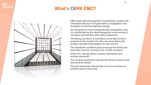

# **What's CERE EMC?**



**EMC means Electromagnetic Compatibility, studies the unwanted effects of the generation, propagation and reception of electromagnetic energy.**

**An equipment is electromagnetically compatible when it is unaffected by the electromagnetic noise around it and does not interfere with other equipment.**

**Certifying a product is mandatory to be able to sell a product on the market. For this, you must follow the product standard that applies to each device.**

**The standards establish quite precisely the limits and tests that must be carried out to certify a product.**

**There are, among others, product standards and testing standards.**

**The product standards indicate the limits to which each test must be tested.**

**The test standards indicate the correct procedure to perform each of the tests.**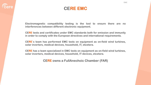

### **CERE EMC**

**Electromagnetic compatibility testing is the tool to ensure there are no interferences between different electronic equipment.**

**CERE tests and certificates under EMC standards both for emission and immunity in order to comply with the European directives and international requirements.**

**CERE**´**s team has performed EMC tests on equipment as on-field wind turbines, solar inverters, medical devices, household, IT, etcetera.**

**CERE has a team specialized in EMC tests on equipment as on-field wind turbines, solar inverters, medical devices, household, IT devices, etcetera.**

**CERE owns a FullAnechoic Chamber (FAR)**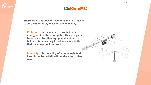

# **CERE EMC**

**There are two groups of tests that must be passed to certify a product, Emission and Immunity.**

- **Emission: It is the amount of radiation or energy emitted by a computer. This energy can be received by other equipment and cause it to fail, so it is necessary to set maximum limits that the equipment can emit.**
- **Immunity: It is the ability of a team to defend itself from the radiation it receives from other teams.**

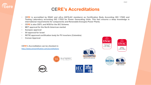### **CERE's Accreditations**

- **CERE is accredited by ENAC and a2La (IAF/ILAC members) as Certification Body According ISO 17065 and Testing Laboratory according ISO 17025 for Power Generating Units. This fact ensures a deep knowledge in international requirements for components and Renewable Energies Power Plants.**
- **CERE is also CBTL and NCB for the IEC Scheme.**
- **MET approval for the North American market**
- **Sunspec approval**

*<u>Cere</u>* 

- **SII approval for Israel**
- **RETIE approved certification body for PV inverters (Colombia)**
- **Corean Approval**

**CERE's Accreditation can be checked in:** <http://www.cerecertification.com/accreditations>



**ACCREDITED CERTIFICATE #5314.03** 











EMC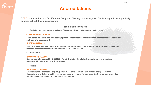

**CERE is accredited as Certification Body and Testing Laboratory for Electromagnetic Compatibility according the following standards:**

### **Emission standards**

**• Radiated and conducted emmision: Characteristics of radioelectric perturbations** 

#### **CISPR 11 + AMD1 + AMD2**

**- Industrial, scientific and medical equipment - Radio-frequency disturbance characteristics - Limits and methods of measurement**

#### **UNE-EN 55011+A11**

**Industrial, scientific and medical equipment. Radio-frequency disturbance characteristics. Limits and methods of measurement (Endorsed by AENOR; October 2016)**

• **Harmonics**

#### **IEC 61000-3-2 + AMD1**

Electromagnetic compatibility (EMC) – Part 3-2: Limits – Limits for harmonic current emissions **(equipment input current ≤ 16 A per phase)**

• **Flicker**

#### **IEC 61000-3-3 + AMD1-**

**Electromagnetic compatibility (EMC) - Part 3-3: Limits - Limitation of voltage changes, voltage fluctuations and flicker in public low-voltage supply systems, for equipment with rated current ≤ 16 A per phase and not subject to conditional connection**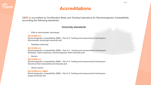

**CERE is accredited as Certification Body and Testing Laboratory for Electromagnetic Compatibility according the following standards:**

### **Immunity standards**

• **ESD or electrostatic discharge:**

#### **IEC 61000-4-2**

**Electromagnetic compatibility (EMC) - Part 4-2: Testing and measurement techniques - Electrostatic discharge immunity test**

• **Radiated immunity:**

#### **IEC 61000-4-3**

**Electromagnetic compatibility (EMC) - Part 4-3 : Testing and measurement techniques - Radiated, radio-frequency, electromagnetic field immunity test**

• **Bursts:**

### **IEC 61000-4-4**

**Electromagnetic compatibility (EMC) - Part 4-4: Testing and measurement techniques - Electrical fast transient/burst immunity test**

• **Shock waves:**

### **IEC 61000-4-5 + AMD1**

**Electromagnetic compatibility (EMC) - Part 4-5: Testing and measurement techniques - Surge immunity test**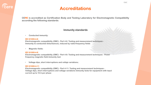

**CERE is accredited as Certification Body and Testing Laboratory for Electromagnetic Compatibility according the following standards:**

### **Immunity standards**

• **Conducted immunity:**

#### **IEC 61000-4-6**

**Electromagnetic compatibility (EMC) - Part 4-6: Testing and measurement techniques - Immunity to conducted disturbances, induced by radio-frequency fields**

• **Magnetic fields:**

#### **IEC 61000-4-8**

**Electromagnetic compatibility (EMC) - Part 4-8: Testing and measurement techniques - Power frequency magnetic field immunity test**

• **Voltage dips, short interruptions and voltaje variations.:**

#### **IEC 61000-4-11**

**Electromagnetic compatibility (EMC) - Part 4-11: Testing and measurement techniques - Voltage dips, short interruptions and voltage variations immunity tests for equipment with input current up to 16 A per phase**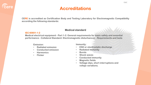

**CERE is accredited as Certification Body and Testing Laboratory for Electromagnetic Compatibility according the following standards:**

### **Medical standard**

### **IEC 60601-1-2**

**Medical electrical equipment - Part 1-2: General requirements for basic safety and essential performance - Collateral Standard: Electromagnetic disturbances - Requirements and tests**

**Emission:** 

- **Radiated emission**
- **Conducted emission**
- **Harmonics**
- **Flicker**

**Immunity:**

- **ESD or electrostatic discharge**
- **Radiated immunity**
- **Bursts**
- **Shock waves**
- **Conducted immunity**
- **Magnetic fields**
- **Voltage dips, short interruptions and voltaje variations.**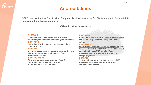

**CERE is accredited as Certification Body and Testing Laboratory for Electromagnetic Compatibility according the following standards:**

### **Other Product Standards**

#### **EN 62040-2**

**Uninterruptible power systems (UPS) - Part 2: Electromagnetic compatibility (EMC) requirements**

#### **IEC 60947-2**

**Low-voltage switchgear and controlgear – Part 2: Circuit-breakers** 

#### **IEC 61326-1**

**Electrical equipment for measurement, control and laboratory use - EMC requirements - Part 1: General requirements**

#### **IEC 61400-40 ED1**

**Wind energy generation systems - Part 40: Electromagnetic Compatibility (EMC) - Requirements and test methods**

#### **IEC 61800-3**

**Adjustable speed electrical power drive systems - Part 3: EMC requirements and specific test methods**

#### **IEC 61851-21-2**

**Electric vehicle conductive charging system - Part 21-2: Electric vehicle requirements for conductive connection to an AC/DC supply - EMC requirements for off board electric vehicle charging systems**

### **IEC 62920**

**Photovoltaic power generating systems - EMC requirements and test methods for power conversion equipment**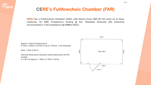### **CERE's FullAnechoic Chamber (FAR)**

**CERE has a FullAnechoic Chamber (FAR), with Quiera Zone (QZ) Ø1.5m (esto es la mesa rotatoria), for EMC Compliance Testing @ 3m: -Radiated Immunity (RI) Industrial environment(1): Full Compliance @ 80MHz-6GHz.:**

Wall C **Approx. external dimensions: 8.10m x 4.80m x 3.975m H up to 1Tonne, 1,5m diameter. Door 1,5mx 2,4m H** Wall D Ilall **Top View**  $\varpi$ **Internal dimensions between hybrid absorbers (HT45 model): (L x W x H) approx. 7.08m x 3.78m x 2.81m.**Wall A Door 01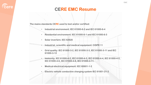

### **CERE EMC Resume**

**The mains standards CERE used to test and/or certified:**

- **Industrial environment: IEC 61000-6-2 and IEC 61000-6-4**
- **Residential environment: IEC 61000-6-1 and IEC 61000-6-3**
- **Solar inverters: IEC 62920**
- **Industrial, scientific and medical equipment: CISPR 11**
- **Grid quality: IEC 61000-3-2, IEC 61000-3-3, IEC 61000-3-11 and IEC 61000-3-12**
- **Immunity: IEC 61000-4-2, IEC 61000-4-3, IEC 61000-4-4, IEC 61000-4-5, IEC 61000-4-6, IEC 61000-4-8, IEC 61000-4-11.**
- **Medical electrical equipment: IEC 60601-1-2**
- **Electric vehicle conductive charging system IEC 61851-21-2**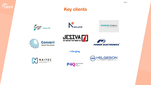

# **Key clients**













i-charging





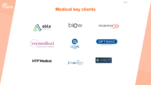

### **Medical key clients**



**biow** 



| vecmedical                                |
|-------------------------------------------|
| Innovative solutions for a healthier life |





**HTP'Medical** 



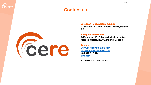

### **Contact us**



### **European Headquarters (Spain)**

**C/ Serrano, 8, 3 Izda, Madrid. 28001, Madrid, ES**

#### **European Laboratory**

**C/Monturiol, 15. Polígono Industrial de San Marcos, Getafe. 28906, Madrid, España.**

### **Contact [www.cerecertification.com](http://www.cerecertification.com/) [info@cerecertification.com](mailto:info@cerecertification.com) +34 910 612 614 [LinkedIn](https://www.linkedin.com/company/cere-industrial)**

**Monday-Friday: 7am to 6pm (CET)**